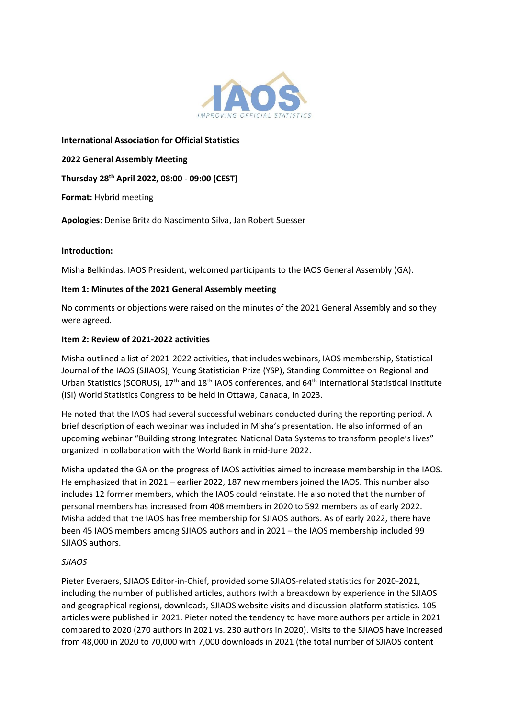

**International Association for Official Statistics** 

**2022 General Assembly Meeting** 

**Thursday 28 th April 2022, 08:00 - 09:00 (CEST)**

**Format:** Hybrid meeting

**Apologies:** Denise Britz do Nascimento Silva, Jan Robert Suesser

## **Introduction:**

Misha Belkindas, IAOS President, welcomed participants to the IAOS General Assembly (GA).

## **Item 1: Minutes of the 2021 General Assembly meeting**

No comments or objections were raised on the minutes of the 2021 General Assembly and so they were agreed.

### **Item 2: Review of 2021-2022 activities**

Misha outlined a list of 2021-2022 activities, that includes webinars, IAOS membership, Statistical Journal of the IAOS (SJIAOS), Young Statistician Prize (YSP), Standing Committee on Regional and Urban Statistics (SCORUS), 17<sup>th</sup> and 18<sup>th</sup> IAOS conferences, and 64<sup>th</sup> International Statistical Institute (ISI) World Statistics Congress to be held in Ottawa, Canada, in 2023.

He noted that the IAOS had several successful webinars conducted during the reporting period. A brief description of each webinar was included in Misha's presentation. He also informed of an upcoming webinar "Building strong Integrated National Data Systems to transform people's lives" organized in collaboration with the World Bank in mid-June 2022.

Misha updated the GA on the progress of IAOS activities aimed to increase membership in the IAOS. He emphasized that in 2021 – earlier 2022, 187 new members joined the IAOS. This number also includes 12 former members, which the IAOS could reinstate. He also noted that the number of personal members has increased from 408 members in 2020 to 592 members as of early 2022. Misha added that the IAOS has free membership for SJIAOS authors. As of early 2022, there have been 45 IAOS members among SJIAOS authors and in 2021 – the IAOS membership included 99 SJIAOS authors.

## *SJIAOS*

Pieter Everaers, SJIAOS Editor-in-Chief, provided some SJIAOS-related statistics for 2020-2021, including the number of published articles, authors (with a breakdown by experience in the SJIAOS and geographical regions), downloads, SJIAOS website visits and discussion platform statistics. 105 articles were published in 2021. Pieter noted the tendency to have more authors per article in 2021 compared to 2020 (270 authors in 2021 vs. 230 authors in 2020). Visits to the SJIAOS have increased from 48,000 in 2020 to 70,000 with 7,000 downloads in 2021 (the total number of SJIAOS content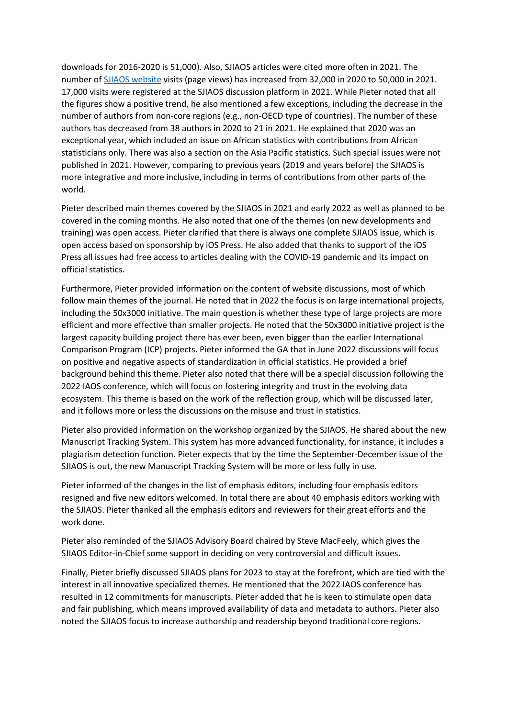downloads for 2016-2020 is 51,000). Also, SJIAOS articles were cited more often in 2021. The number o[f SJIAOS website](https://officialstatistics.com/) visits (page views) has increased from 32,000 in 2020 to 50,000 in 2021. 17,000 visits were registered at the SJIAOS discussion platform in 2021. While Pieter noted that all the figures show a positive trend, he also mentioned a few exceptions, including the decrease in the number of authors from non-core regions (e.g., non-OECD type of countries). The number of these authors has decreased from 38 authors in 2020 to 21 in 2021. He explained that 2020 was an exceptional year, which included an issue on African statistics with contributions from African statisticians only. There was also a section on the Asia Pacific statistics. Such special issues were not published in 2021. However, comparing to previous years (2019 and years before) the SJIAOS is more integrative and more inclusive, including in terms of contributions from other parts of the world.

Pieter described main themes covered by the SJIAOS in 2021 and early 2022 as well as planned to be covered in the coming months. He also noted that one of the themes (on new developments and training) was open access. Pieter clarified that there is always one complete SJIAOS issue, which is open access based on sponsorship by iOS Press. He also added that thanks to support of the iOS Press all issues had free access to articles dealing with the COVID-19 pandemic and its impact on official statistics.

Furthermore, Pieter provided information on the content of website discussions, most of which follow main themes of the journal. He noted that in 2022 the focus is on large international projects, including the 50x3000 initiative. The main question is whether these type of large projects are more efficient and more effective than smaller projects. He noted that the 50x3000 initiative project is the largest capacity building project there has ever been, even bigger than the earlier International Comparison Program (ICP) projects. Pieter informed the GA that in June 2022 discussions will focus on positive and negative aspects of standardization in official statistics. He provided a brief background behind this theme. Pieter also noted that there will be a special discussion following the 2022 IAOS conference, which will focus on fostering integrity and trust in the evolving data ecosystem. This theme is based on the work of the reflection group, which will be discussed later, and it follows more or less the discussions on the misuse and trust in statistics.

Pieter also provided information on the workshop organized by the SJIAOS. He shared about the new Manuscript Tracking System. This system has more advanced functionality, for instance, it includes a plagiarism detection function. Pieter expects that by the time the September-December issue of the SJIAOS is out, the new Manuscript Tracking System will be more or less fully in use.

Pieter informed of the changes in the list of emphasis editors, including four emphasis editors resigned and five new editors welcomed. In total there are about 40 emphasis editors working with the SJIAOS. Pieter thanked all the emphasis editors and reviewers for their great efforts and the work done.

Pieter also reminded of the SJIAOS Advisory Board chaired by Steve MacFeely, which gives the SJIAOS Editor-in-Chief some support in deciding on very controversial and difficult issues.

Finally, Pieter briefly discussed SJIAOS plans for 2023 to stay at the forefront, which are tied with the interest in all innovative specialized themes. He mentioned that the 2022 IAOS conference has resulted in 12 commitments for manuscripts. Pieter added that he is keen to stimulate open data and fair publishing, which means improved availability of data and metadata to authors. Pieter also noted the SJIAOS focus to increase authorship and readership beyond traditional core regions.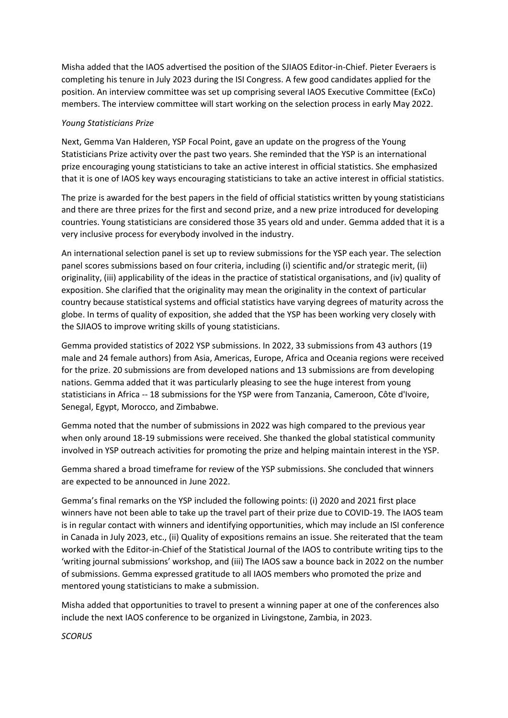Misha added that the IAOS advertised the position of the SJIAOS Editor-in-Chief. Pieter Everaers is completing his tenure in July 2023 during the ISI Congress. A few good candidates applied for the position. An interview committee was set up comprising several IAOS Executive Committee (ExCo) members. The interview committee will start working on the selection process in early May 2022.

## *Young Statisticians Prize*

Next, Gemma Van Halderen, YSP Focal Point, gave an update on the progress of the Young Statisticians Prize activity over the past two years. She reminded that the YSP is an international prize encouraging young statisticians to take an active interest in official statistics. She emphasized that it is one of IAOS key ways encouraging statisticians to take an active interest in official statistics.

The prize is awarded for the best papers in the field of official statistics written by young statisticians and there are three prizes for the first and second prize, and a new prize introduced for developing countries. Young statisticians are considered those 35 years old and under. Gemma added that it is a very inclusive process for everybody involved in the industry.

An international selection panel is set up to review submissions for the YSP each year. The selection panel scores submissions based on four criteria, including (i) scientific and/or strategic merit, (ii) originality, (iii) applicability of the ideas in the practice of statistical organisations, and (iv) quality of exposition. She clarified that the originality may mean the originality in the context of particular country because statistical systems and official statistics have varying degrees of maturity across the globe. In terms of quality of exposition, she added that the YSP has been working very closely with the SJIAOS to improve writing skills of young statisticians.

Gemma provided statistics of 2022 YSP submissions. In 2022, 33 submissions from 43 authors (19 male and 24 female authors) from Asia, Americas, Europe, Africa and Oceania regions were received for the prize. 20 submissions are from developed nations and 13 submissions are from developing nations. Gemma added that it was particularly pleasing to see the huge interest from young statisticians in Africa -- 18 submissions for the YSP were from Tanzania, Cameroon, Côte d'Ivoire, Senegal, Egypt, Morocco, and Zimbabwe.

Gemma noted that the number of submissions in 2022 was high compared to the previous year when only around 18-19 submissions were received. She thanked the global statistical community involved in YSP outreach activities for promoting the prize and helping maintain interest in the YSP.

Gemma shared a broad timeframe for review of the YSP submissions. She concluded that winners are expected to be announced in June 2022.

Gemma's final remarks on the YSP included the following points: (i) 2020 and 2021 first place winners have not been able to take up the travel part of their prize due to COVID-19. The IAOS team is in regular contact with winners and identifying opportunities, which may include an ISI conference in Canada in July 2023, etc., (ii) Quality of expositions remains an issue. She reiterated that the team worked with the Editor-in-Chief of the Statistical Journal of the IAOS to contribute writing tips to the 'writing journal submissions' workshop, and (iii) The IAOS saw a bounce back in 2022 on the number of submissions. Gemma expressed gratitude to all IAOS members who promoted the prize and mentored young statisticians to make a submission.

Misha added that opportunities to travel to present a winning paper at one of the conferences also include the next IAOS conference to be organized in Livingstone, Zambia, in 2023.

*SCORUS*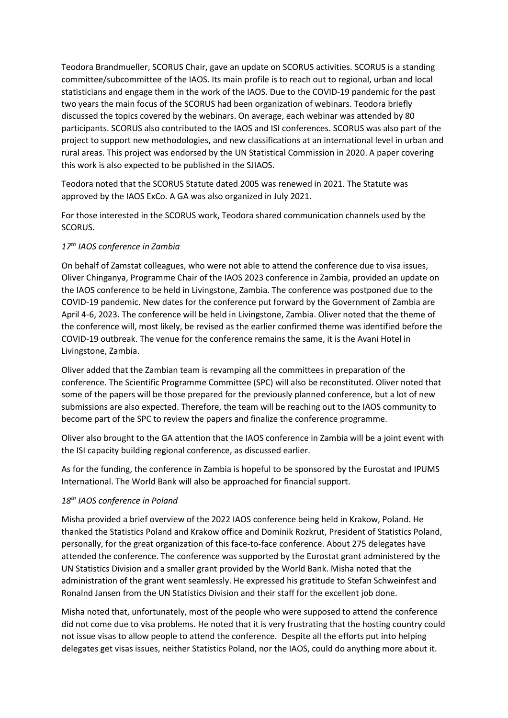Teodora Brandmueller, SCORUS Chair, gave an update on SCORUS activities. SCORUS is a standing committee/subcommittee of the IAOS. Its main profile is to reach out to regional, urban and local statisticians and engage them in the work of the IAOS. Due to the COVID-19 pandemic for the past two years the main focus of the SCORUS had been organization of webinars. Teodora briefly discussed the topics covered by the webinars. On average, each webinar was attended by 80 participants. SCORUS also contributed to the IAOS and ISI conferences. SCORUS was also part of the project to support new methodologies, and new classifications at an international level in urban and rural areas. This project was endorsed by the UN Statistical Commission in 2020. A paper covering this work is also expected to be published in the SJIAOS.

Teodora noted that the SCORUS Statute dated 2005 was renewed in 2021. The Statute was approved by the IAOS ExCo. A GA was also organized in July 2021.

For those interested in the SCORUS work, Teodora shared communication channels used by the SCORUS.

## *17th IAOS conference in Zambia*

On behalf of Zamstat colleagues, who were not able to attend the conference due to visa issues, Oliver Chinganya, Programme Chair of the IAOS 2023 conference in Zambia, provided an update on the IAOS conference to be held in Livingstone, Zambia. The conference was postponed due to the COVID-19 pandemic. New dates for the conference put forward by the Government of Zambia are April 4-6, 2023. The conference will be held in Livingstone, Zambia. Oliver noted that the theme of the conference will, most likely, be revised as the earlier confirmed theme was identified before the COVID-19 outbreak. The venue for the conference remains the same, it is the Avani Hotel in Livingstone, Zambia.

Oliver added that the Zambian team is revamping all the committees in preparation of the conference. The Scientific Programme Committee (SPC) will also be reconstituted. Oliver noted that some of the papers will be those prepared for the previously planned conference, but a lot of new submissions are also expected. Therefore, the team will be reaching out to the IAOS community to become part of the SPC to review the papers and finalize the conference programme.

Oliver also brought to the GA attention that the IAOS conference in Zambia will be a joint event with the ISI capacity building regional conference, as discussed earlier.

As for the funding, the conference in Zambia is hopeful to be sponsored by the Eurostat and IPUMS International. The World Bank will also be approached for financial support.

## *18th IAOS conference in Poland*

Misha provided a brief overview of the 2022 IAOS conference being held in Krakow, Poland. He thanked the Statistics Poland and Krakow office and Dominik Rozkrut, President of Statistics Poland, personally, for the great organization of this face-to-face conference. About 275 delegates have attended the conference. The conference was supported by the Eurostat grant administered by the UN Statistics Division and a smaller grant provided by the World Bank. Misha noted that the administration of the grant went seamlessly. He expressed his gratitude to Stefan Schweinfest and Ronalnd Jansen from the UN Statistics Division and their staff for the excellent job done.

Misha noted that, unfortunately, most of the people who were supposed to attend the conference did not come due to visa problems. He noted that it is very frustrating that the hosting country could not issue visas to allow people to attend the conference. Despite all the efforts put into helping delegates get visas issues, neither Statistics Poland, nor the IAOS, could do anything more about it.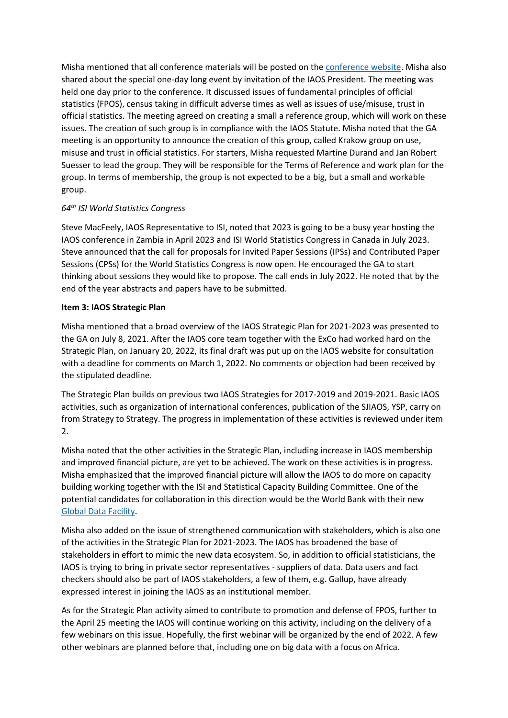Misha mentioned that all conference materials will be posted on th[e conference website.](https://www.iaos2022.pl/) Misha also shared about the special one-day long event by invitation of the IAOS President. The meeting was held one day prior to the conference. It discussed issues of fundamental principles of official statistics (FPOS), census taking in difficult adverse times as well as issues of use/misuse, trust in official statistics. The meeting agreed on creating a small a reference group, which will work on these issues. The creation of such group is in compliance with the IAOS Statute. Misha noted that the GA meeting is an opportunity to announce the creation of this group, called Krakow group on use, misuse and trust in official statistics. For starters, Misha requested Martine Durand and Jan Robert Suesser to lead the group. They will be responsible for the Terms of Reference and work plan for the group. In terms of membership, the group is not expected to be a big, but a small and workable group.

# *64th ISI World Statistics Congress*

Steve MacFeely, IAOS Representative to ISI, noted that 2023 is going to be a busy year hosting the IAOS conference in Zambia in April 2023 and ISI World Statistics Congress in Canada in July 2023. Steve announced that the call for proposals for Invited Paper Sessions (IPSs) and Contributed Paper Sessions (CPSs) for the World Statistics Congress is now open. He encouraged the GA to start thinking about sessions they would like to propose. The call ends in July 2022. He noted that by the end of the year abstracts and papers have to be submitted.

# **Item 3: IAOS Strategic Plan**

Misha mentioned that a broad overview of the IAOS Strategic Plan for 2021-2023 was presented to the GA on July 8, 2021. After the IAOS core team together with the ExCo had worked hard on the Strategic Plan, on January 20, 2022, its final draft was put up on the IAOS website for consultation with a deadline for comments on March 1, 2022. No comments or objection had been received by the stipulated deadline.

The Strategic Plan builds on previous two IAOS Strategies for 2017-2019 and 2019-2021. Basic IAOS activities, such as organization of international conferences, publication of the SJIAOS, YSP, carry on from Strategy to Strategy. The progress in implementation of these activities is reviewed under item 2.

Misha noted that the other activities in the Strategic Plan, including increase in IAOS membership and improved financial picture, are yet to be achieved. The work on these activities is in progress. Misha emphasized that the improved financial picture will allow the IAOS to do more on capacity building working together with the ISI and Statistical Capacity Building Committee. One of the potential candidates for collaboration in this direction would be the World Bank with their new [Global Data Facility.](https://www.worldbank.org/en/research/brief/global-data-facility)

Misha also added on the issue of strengthened communication with stakeholders, which is also one of the activities in the Strategic Plan for 2021-2023. The IAOS has broadened the base of stakeholders in effort to mimic the new data ecosystem. So, in addition to official statisticians, the IAOS is trying to bring in private sector representatives - suppliers of data. Data users and fact checkers should also be part of IAOS stakeholders, a few of them, e.g. Gallup, have already expressed interest in joining the IAOS as an institutional member.

As for the Strategic Plan activity aimed to contribute to promotion and defense of FPOS, further to the April 25 meeting the IAOS will continue working on this activity, including on the delivery of a few webinars on this issue. Hopefully, the first webinar will be organized by the end of 2022. A few other webinars are planned before that, including one on big data with a focus on Africa.